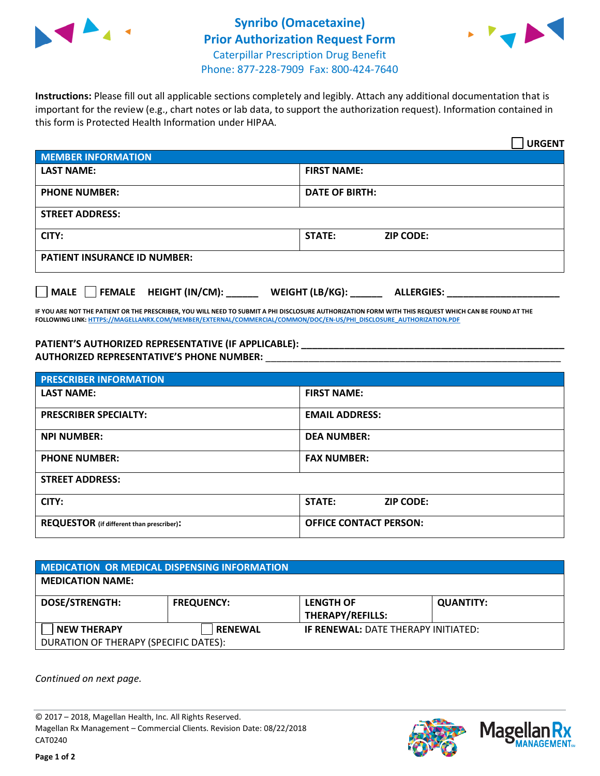



**Instructions:** Please fill out all applicable sections completely and legibly. Attach any additional documentation that is important for the review (e.g., chart notes or lab data, to support the authorization request). Information contained in this form is Protected Health Information under HIPAA.

|                                     |                                      | <b>URGENT</b> |
|-------------------------------------|--------------------------------------|---------------|
| <b>MEMBER INFORMATION</b>           |                                      |               |
| <b>LAST NAME:</b>                   | <b>FIRST NAME:</b>                   |               |
| <b>PHONE NUMBER:</b>                | <b>DATE OF BIRTH:</b>                |               |
| <b>STREET ADDRESS:</b>              |                                      |               |
| CITY:                               | <b>STATE:</b><br><b>ZIP CODE:</b>    |               |
| <b>PATIENT INSURANCE ID NUMBER:</b> |                                      |               |
| MALE FEMALE HEIGHT (IN/CM):         | WEIGHT (LB/KG):<br><b>ALLERGIES:</b> |               |

**IF YOU ARE NOT THE PATIENT OR THE PRESCRIBER, YOU WILL NEED TO SUBMIT A PHI DISCLOSURE AUTHORIZATION FORM WITH THIS REQUEST WHICH CAN BE FOUND AT THE FOLLOWING LINK[: HTTPS://MAGELLANRX.COM/MEMBER/EXTERNAL/COMMERCIAL/COMMON/DOC/EN-US/PHI\\_DISCLOSURE\\_AUTHORIZATION.PDF](https://magellanrx.com/member/external/commercial/common/doc/en-us/PHI_Disclosure_Authorization.pdf)**

**PATIENT'S AUTHORIZED REPRESENTATIVE (IF APPLICABLE): \_\_\_\_\_\_\_\_\_\_\_\_\_\_\_\_\_\_\_\_\_\_\_\_\_\_\_\_\_\_\_\_\_\_\_\_\_\_\_\_\_\_\_\_\_\_\_\_\_ AUTHORIZED REPRESENTATIVE'S PHONE NUMBER:** \_\_\_\_\_\_\_\_\_\_\_\_\_\_\_\_\_\_\_\_\_\_\_\_\_\_\_\_\_\_\_\_\_\_\_\_\_\_\_\_\_\_\_\_\_\_\_\_\_\_\_\_\_\_\_

| <b>PRESCRIBER INFORMATION</b>             |                               |  |  |  |
|-------------------------------------------|-------------------------------|--|--|--|
| <b>LAST NAME:</b>                         | <b>FIRST NAME:</b>            |  |  |  |
| <b>PRESCRIBER SPECIALTY:</b>              | <b>EMAIL ADDRESS:</b>         |  |  |  |
| <b>NPI NUMBER:</b>                        | <b>DEA NUMBER:</b>            |  |  |  |
| <b>PHONE NUMBER:</b>                      | <b>FAX NUMBER:</b>            |  |  |  |
| <b>STREET ADDRESS:</b>                    |                               |  |  |  |
| CITY:                                     | STATE:<br><b>ZIP CODE:</b>    |  |  |  |
| REQUESTOR (if different than prescriber): | <b>OFFICE CONTACT PERSON:</b> |  |  |  |

| <b>MEDICATION OR MEDICAL DISPENSING INFORMATION</b> |                   |                                            |                  |  |  |
|-----------------------------------------------------|-------------------|--------------------------------------------|------------------|--|--|
| <b>MEDICATION NAME:</b>                             |                   |                                            |                  |  |  |
| <b>DOSE/STRENGTH:</b>                               | <b>FREQUENCY:</b> | <b>LENGTH OF</b>                           | <b>QUANTITY:</b> |  |  |
|                                                     |                   | <b>THERAPY/REFILLS:</b>                    |                  |  |  |
| <b>NEW THERAPY</b>                                  | <b>RENEWAL</b>    | <b>IF RENEWAL: DATE THERAPY INITIATED:</b> |                  |  |  |
| DURATION OF THERAPY (SPECIFIC DATES):               |                   |                                            |                  |  |  |

*Continued on next page.*

© 2017 – 2018, Magellan Health, Inc. All Rights Reserved. Magellan Rx Management – Commercial Clients. Revision Date: 08/22/2018 CAT0240



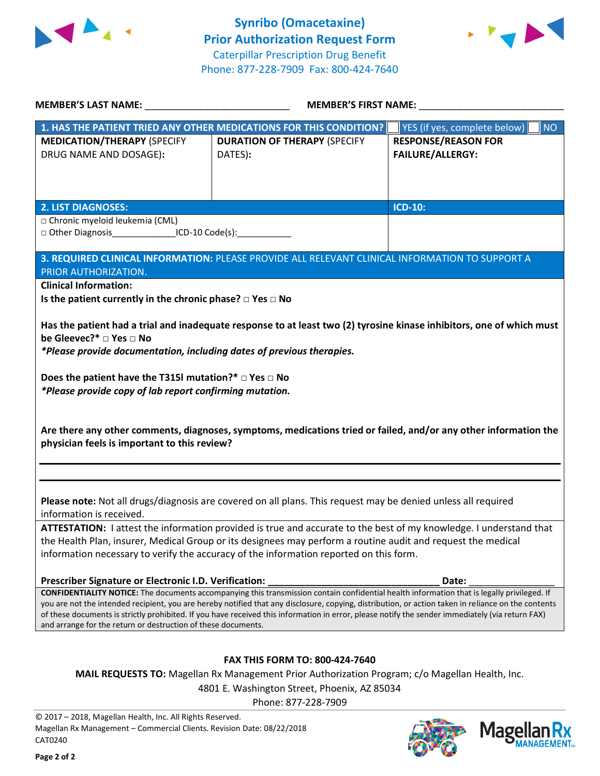



| MEMBER'S LAST NAME: NAME:                                                                                                                                                                                                                           | <b>MEMBER'S FIRST NAME:</b>                                                                                                                                                                                                                                                                                                                                                                                                                            |                                                       |  |
|-----------------------------------------------------------------------------------------------------------------------------------------------------------------------------------------------------------------------------------------------------|--------------------------------------------------------------------------------------------------------------------------------------------------------------------------------------------------------------------------------------------------------------------------------------------------------------------------------------------------------------------------------------------------------------------------------------------------------|-------------------------------------------------------|--|
|                                                                                                                                                                                                                                                     | 1. HAS THE PATIENT TRIED ANY OTHER MEDICATIONS FOR THIS CONDITION?                                                                                                                                                                                                                                                                                                                                                                                     | YES (if yes, complete below)<br><b>NO</b>             |  |
| <b>MEDICATION/THERAPY (SPECIFY</b><br>DRUG NAME AND DOSAGE):                                                                                                                                                                                        | <b>DURATION OF THERAPY (SPECIFY</b><br>DATES):                                                                                                                                                                                                                                                                                                                                                                                                         | <b>RESPONSE/REASON FOR</b><br><b>FAILURE/ALLERGY:</b> |  |
| <b>2. LIST DIAGNOSES:</b>                                                                                                                                                                                                                           |                                                                                                                                                                                                                                                                                                                                                                                                                                                        | <b>ICD-10:</b>                                        |  |
| □ Chronic myeloid leukemia (CML)<br>□ Other Diagnosis________________ICD-10 Code(s):____________                                                                                                                                                    |                                                                                                                                                                                                                                                                                                                                                                                                                                                        |                                                       |  |
| PRIOR AUTHORIZATION.                                                                                                                                                                                                                                | 3. REQUIRED CLINICAL INFORMATION: PLEASE PROVIDE ALL RELEVANT CLINICAL INFORMATION TO SUPPORT A                                                                                                                                                                                                                                                                                                                                                        |                                                       |  |
| <b>Clinical Information:</b>                                                                                                                                                                                                                        |                                                                                                                                                                                                                                                                                                                                                                                                                                                        |                                                       |  |
| Is the patient currently in the chronic phase? $\Box$ Yes $\Box$ No                                                                                                                                                                                 |                                                                                                                                                                                                                                                                                                                                                                                                                                                        |                                                       |  |
| *Please provide documentation, including dates of previous therapies.<br>Does the patient have the T315l mutation?* $\Box$ Yes $\Box$ No<br>*Please provide copy of lab report confirming mutation.<br>physician feels is important to this review? | Are there any other comments, diagnoses, symptoms, medications tried or failed, and/or any other information the<br>Please note: Not all drugs/diagnosis are covered on all plans. This request may be denied unless all required                                                                                                                                                                                                                      |                                                       |  |
| information is received.                                                                                                                                                                                                                            |                                                                                                                                                                                                                                                                                                                                                                                                                                                        |                                                       |  |
|                                                                                                                                                                                                                                                     | ATTESTATION: I attest the information provided is true and accurate to the best of my knowledge. I understand that                                                                                                                                                                                                                                                                                                                                     |                                                       |  |
|                                                                                                                                                                                                                                                     | the Health Plan, insurer, Medical Group or its designees may perform a routine audit and request the medical                                                                                                                                                                                                                                                                                                                                           |                                                       |  |
|                                                                                                                                                                                                                                                     | information necessary to verify the accuracy of the information reported on this form.                                                                                                                                                                                                                                                                                                                                                                 |                                                       |  |
| Prescriber Signature or Electronic I.D. Verification:                                                                                                                                                                                               |                                                                                                                                                                                                                                                                                                                                                                                                                                                        | Date:                                                 |  |
| and arrange for the return or destruction of these documents.                                                                                                                                                                                       | CONFIDENTIALITY NOTICE: The documents accompanying this transmission contain confidential health information that is legally privileged. If<br>you are not the intended recipient, you are hereby notified that any disclosure, copying, distribution, or action taken in reliance on the contents<br>of these documents is strictly prohibited. If you have received this information in error, please notify the sender immediately (via return FAX) |                                                       |  |
|                                                                                                                                                                                                                                                     | <b>FAX THIS FORM TO: 800-424-7640</b>                                                                                                                                                                                                                                                                                                                                                                                                                  |                                                       |  |
|                                                                                                                                                                                                                                                     | <b>MAIL REQUESTS TO:</b> Magellan Rx Management Prior Authorization Program; c/o Magellan Health, Inc.                                                                                                                                                                                                                                                                                                                                                 |                                                       |  |
|                                                                                                                                                                                                                                                     | 4801 E. Washington Street, Phoenix, AZ 85034                                                                                                                                                                                                                                                                                                                                                                                                           |                                                       |  |
|                                                                                                                                                                                                                                                     | Phone: 877-228-7909                                                                                                                                                                                                                                                                                                                                                                                                                                    |                                                       |  |
| © 2017 - 2018, Magellan Health, Inc. All Rights Reserved.<br>Magellan Rx Management - Commercial Clients. Revision Date: 08/22/2018<br>CAT0240                                                                                                      |                                                                                                                                                                                                                                                                                                                                                                                                                                                        | <b>Magell</b>                                         |  |